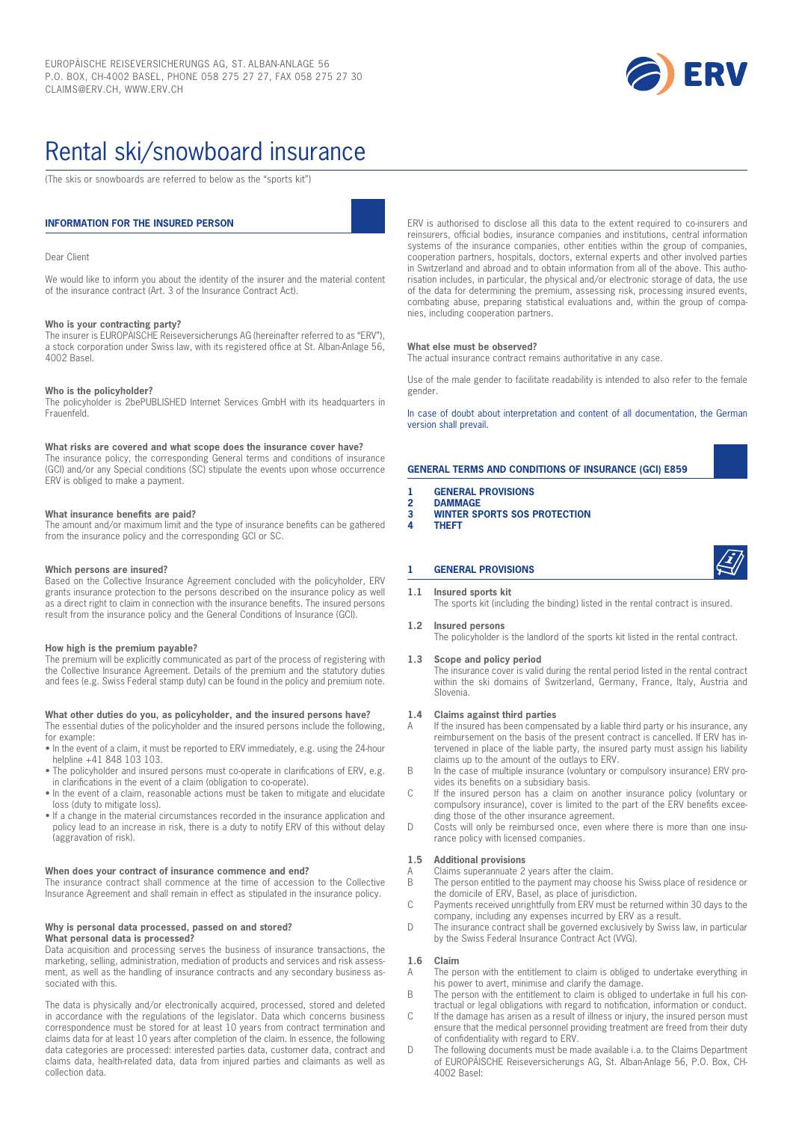

# Rental ski/snowboard insurance

(The skis or snowboards are referred to below as the "sports kit")

#### **INFORMATION FOR THE INSURED PERSON**

#### Dear Client

We would like to inform you about the identity of the insurer and the material content of the insurance contract (Art. 3 of the Insurance Contract Act).

#### **Who is your contracting party?**

The insurer is EUROPÄISCHE Reiseversicherungs AG (hereinafter referred to as "ERV"), a stock corporation under Swiss law, with its registered office at St. Alban-Anlage 56, 4002 Basel.

#### **Who is the policyholder?**

The policyholder is 2bePUBLISHED Internet Services GmbH with its headquarters in Frauenfeld.

#### **What risks are covered and what scope does the insurance cover have?**

The insurance policy, the corresponding General terms and conditions of insurance (GCI) and/or any Special conditions (SC) stipulate the events upon whose occurrence ERV is obliged to make a payment.

#### **What insurance benefits are paid?**

The amount and/or maximum limit and the type of insurance benefits can be gathered from the insurance policy and the corresponding GCI or SC.

#### **Which persons are insured?**

Based on the Collective Insurance Agreement concluded with the policyholder, ERV grants insurance protection to the persons described on the insurance policy as well as a direct right to claim in connection with the insurance benefits. The insured persons result from the insurance policy and the General Conditions of Insurance (GCI).

#### **How high is the premium payable?**

The premium will be explicitly communicated as part of the process of registering with the Collective Insurance Agreement. Details of the premium and the statutory duties and fees (e.g. Swiss Federal stamp duty) can be found in the policy and premium note.

#### **What other duties do you, as policyholder, and the insured persons have?**

The essential duties of the policyholder and the insured persons include the following, for example:

- In the event of a claim, it must be reported to ERV immediately, e.g. using the 24-hour helpline +41 848 103 103.
- The policyholder and insured persons must co-operate in clarifications of ERV, e.g. in clarifications in the event of a claim (obligation to co-operate).
- In the event of a claim, reasonable actions must be taken to mitigate and elucidate loss (duty to mitigate loss).
- If a change in the material circumstances recorded in the insurance application and policy lead to an increase in risk, there is a duty to notify ERV of this without delay (aggravation of risk).

#### **When does your contract of insurance commence and end?**

The insurance contract shall commence at the time of accession to the Collective Insurance Agreement and shall remain in effect as stipulated in the insurance policy.

#### **Why is personal data processed, passed on and stored? What personal data is processed?**

Data acquisition and processing serves the business of insurance transactions, the marketing, selling, administration, mediation of products and services and risk assessment, as well as the handling of insurance contracts and any secondary business associated with this.

The data is physically and/or electronically acquired, processed, stored and deleted in accordance with the regulations of the legislator. Data which concerns business correspondence must be stored for at least 10 years from contract termination and claims data for at least 10 years after completion of the claim. In essence, the following data categories are processed: interested parties data, customer data, contract and claims data, health-related data, data from injured parties and claimants as well as collection data.

ERV is authorised to disclose all this data to the extent required to co-insurers and reinsurers, official bodies, insurance companies and institutions, central information systems of the insurance companies, other entities within the group of companies, cooperation partners, hospitals, doctors, external experts and other involved parties in Switzerland and abroad and to obtain information from all of the above. This authorisation includes, in particular, the physical and/or electronic storage of data, the use of the data for determining the premium, assessing risk, processing insured events, combating abuse, preparing statistical evaluations and, within the group of companies, including cooperation partners.

#### **What else must be observed?**

The actual insurance contract remains authoritative in any case.

Use of the male gender to facilitate readability is intended to also refer to the female gender.

In case of doubt about interpretation and content of all documentation, the German version shall prevail.

#### **GENERAL TERMS AND CONDITIONS OF INSURANCE (GCI) E859**

- **1 GENERAL PROVISIONS**
- **2 DAMMAGE**
- **3 WINTER SPORTS SOS PROTECTION 4 THEFT**
- 

#### **1 GENERAL PROVISIONS**

**1.1 Insured sports kit** The sports kit (including the binding) listed in the rental contract is insured.

#### **1.2 Insured persons**

The policyholder is the landlord of the sports kit listed in the rental contract.

#### **1.3 Scope and policy period**

The insurance cover is valid during the rental period listed in the rental contract within the ski domains of Switzerland, Germany, France, Italy, Austria and Slovenia.

#### **1.4 Claims against third parties**

- A If the insured has been compensated by a liable third party or his insurance, any reimbursement on the basis of the present contract is cancelled. If ERV has intervened in place of the liable party, the insured party must assign his liability claims up to the amount of the outlays to ERV.
- B In the case of multiple insurance (voluntary or compulsory insurance) ERV provides its benefits on a subsidiary basis.
- C If the insured person has a claim on another insurance policy (voluntary or compulsory insurance), cover is limited to the part of the ERV benefits exceeding those of the other insurance agreement.
- D Costs will only be reimbursed once, even where there is more than one insurance policy with licensed companies.

#### **1.5 Additional provisions**

- A Claims superannuate 2 years after the claim.<br>B The person entitled to the payment may choo
- The person entitled to the payment may choose his Swiss place of residence or the domicile of ERV, Basel, as place of jurisdiction.
- C Payments received unrightfully from ERV must be returned within 30 days to the company, including any expenses incurred by ERV as a result.
- D The insurance contract shall be governed exclusively by Swiss law, in particular by the Swiss Federal Insurance Contract Act (VVG).

#### **1.6 Claim**

- The person with the entitlement to claim is obliged to undertake everything in his power to avert, minimise and clarify the damage.
- B The person with the entitlement to claim is obliged to undertake in full his contractual or legal obligations with regard to notification, information or conduct.
- C If the damage has arisen as a result of illness or injury, the insured person must ensure that the medical personnel providing treatment are freed from their duty of confidentiality with regard to ERV.
- D The following documents must be made available i.a. to the Claims Department of EUROPÄISCHE Reiseversicherungs AG, St. Alban-Anlage 56, P.O. Box, CH-4002 Basel: